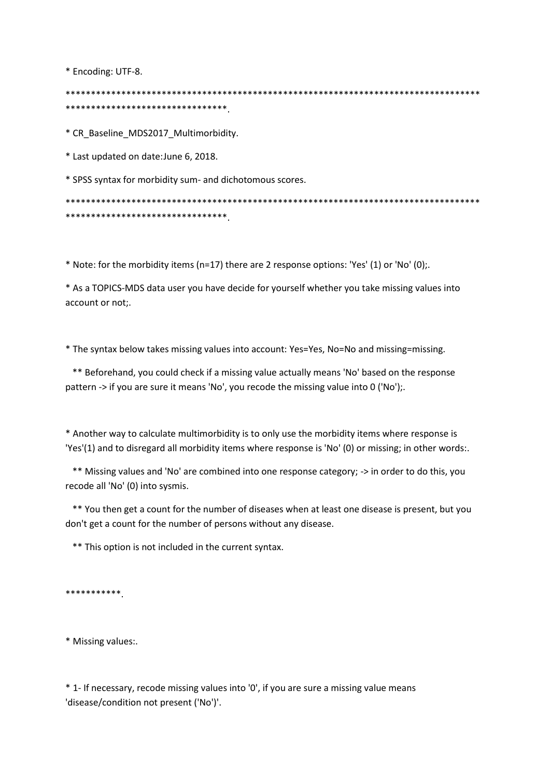\* Encoding: UTF-8.

\*\*\*\*\*\*\*\*\*\*\*\*\*\*\*\*\*\*\*\*\*\*\*\*\*\*\*\*\*\*\*\*

\* CR Baseline MDS2017 Multimorbidity.

\* Last updated on date: June 6, 2018.

\* SPSS syntax for morbidity sum- and dichotomous scores.

\*\*\*\*\*\*\*\*\*\*\*\*\*\*\*\*\*\*\*\*\*\*\*\*\*\*\*\*\*\*\*\*

\* Note: for the morbidity items (n=17) there are 2 response options: 'Yes' (1) or 'No' (0);.

\* As a TOPICS-MDS data user you have decide for yourself whether you take missing values into account or not:.

\* The syntax below takes missing values into account: Yes=Yes, No=No and missing=missing.

\*\* Beforehand, you could check if a missing value actually means 'No' based on the response pattern -> if you are sure it means 'No', you recode the missing value into 0 ('No');.

\* Another way to calculate multimorbidity is to only use the morbidity items where response is 'Yes'(1) and to disregard all morbidity items where response is 'No' (0) or missing; in other words:.

\*\* Missing values and 'No' are combined into one response category; -> in order to do this, you recode all 'No' (0) into sysmis.

\*\* You then get a count for the number of diseases when at least one disease is present, but you don't get a count for the number of persons without any disease.

\*\* This option is not included in the current syntax.

\*\*\*\*\*\*\*\*\*\*\*

\* Missing values:.

\* 1- If necessary, recode missing values into '0', if you are sure a missing value means 'disease/condition not present ('No')'.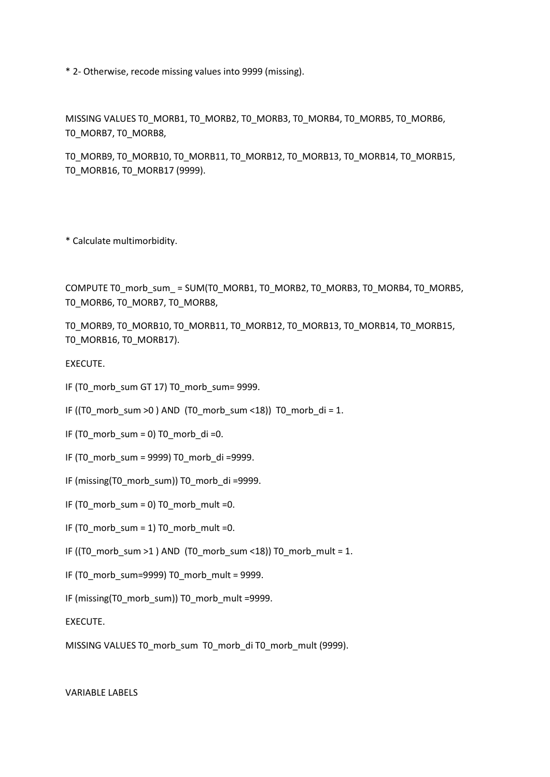\* 2- Otherwise, recode missing values into 9999 (missing).

MISSING VALUES TO MORB1, TO MORB2, TO MORB3, TO MORB4, TO MORB5, TO MORB6, T0\_MORB7, T0\_MORB8,

T0\_MORB9, T0\_MORB10, T0\_MORB11, T0\_MORB12, T0\_MORB13, T0\_MORB14, T0\_MORB15, T0\_MORB16, T0\_MORB17 (9999).

\* Calculate multimorbidity.

COMPUTE T0\_morb\_sum\_ = SUM(T0\_MORB1, T0\_MORB2, T0\_MORB3, T0\_MORB4, T0\_MORB5, T0\_MORB6, T0\_MORB7, T0\_MORB8,

T0\_MORB9, T0\_MORB10, T0\_MORB11, T0\_MORB12, T0\_MORB13, T0\_MORB14, T0\_MORB15, TO MORB16, TO MORB17).

EXECUTE.

- IF (T0\_morb\_sum GT 17) T0\_morb\_sum= 9999.
- IF ((T0\_morb\_sum >0) AND (T0\_morb\_sum <18)) T0\_morb\_di = 1.
- IF (T0\_morb\_sum = 0) T0\_morb\_di =0.
- IF (T0\_morb\_sum = 9999) T0\_morb\_di =9999.
- IF (missing(T0\_morb\_sum)) T0\_morb\_di =9999.
- IF (T0\_morb\_sum = 0) T0\_morb\_mult =0.
- IF (T0\_morb\_sum = 1) T0\_morb\_mult =0.
- IF ((T0\_morb\_sum >1 ) AND (T0\_morb\_sum <18)) T0\_morb\_mult = 1.
- IF (T0\_morb\_sum=9999) T0\_morb\_mult = 9999.
- IF (missing(T0\_morb\_sum)) T0\_morb\_mult =9999.

EXECUTE.

MISSING VALUES T0\_morb\_sum\_T0\_morb\_di T0\_morb\_mult (9999).

VARIABLE LABELS